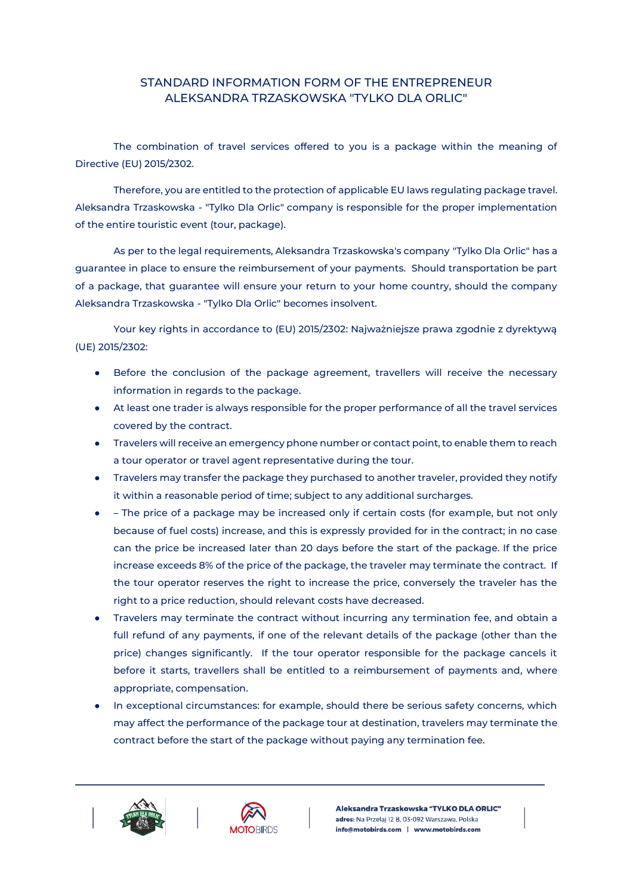## STANDARD INFORMATION FORM OF THE ENTREPRENEUR ALEKSANDRA TRZASKOWSKA "TYLKO DLA ORLIC"

The combination of travel services offered to you is a package within the meaning of Directive (EU) 2015/2302.

Therefore, you are entitled to the protection of applicable EU laws regulating package travel. Aleksandra Trzaskowska - "Tylko Dla Orlic" company is responsible for the proper implementation of the entire touristic event (tour, package).

As per to the legal requirements, Aleksandra Trzaskowska's company "Tylko Dla Orlic" has a guarantee in place to ensure the reimbursement of your payments. Should transportation be part of a package, that guarantee will ensure your return to your home country, should the company Aleksandra Trzaskowska - "Tylko Dla Orlic" becomes insolvent.

Your key rights in accordance to (EU) 2015/2302: Najważniejsze prawa zgodnie z dyrektywą (UE) 2015/2302:

- Before the conclusion of the package agreement, travellers will receive the necessary information in regards to the package.
- At least one trader is always responsible for the proper performance of all the travel services covered by the contract.
- Travelers will receive an emergency phone number or contact point, to enable them to reach a tour operator or travel agent representative during the tour.
- Travelers may transfer the package they purchased to another traveler, provided they notify it within a reasonable period of time; subject to any additional surcharges.
- – The price of a package may be increased only if certain costs (for example, but not only because of fuel costs) increase, and this is expressly provided for in the contract; in no case can the price be increased later than 20 days before the start of the package. If the price increase exceeds 8% of the price of the package, the traveler may terminate the contract. If the tour operator reserves the right to increase the price, conversely the traveler has the right to a price reduction, should relevant costs have decreased.
- Travelers may terminate the contract without incurring any termination fee, and obtain a full refund of any payments, if one of the relevant details of the package (other than the price) changes significantly. If the tour operator responsible for the package cancels it before it starts, travellers shall be entitled to a reimbursement of payments and, where appropriate, compensation.
- In exceptional circumstances: for example, should there be serious safety concerns, which may affect the performance of the package tour at destination, travelers may terminate the contract before the start of the package without paying any termination fee.





Aleksandra Trzaskowska "TYLKO DLA ORLIC" adres: Na Przełaj 12 B, 03-092 Warszawa, Polska info@motobirds.com | www.motobirds.com